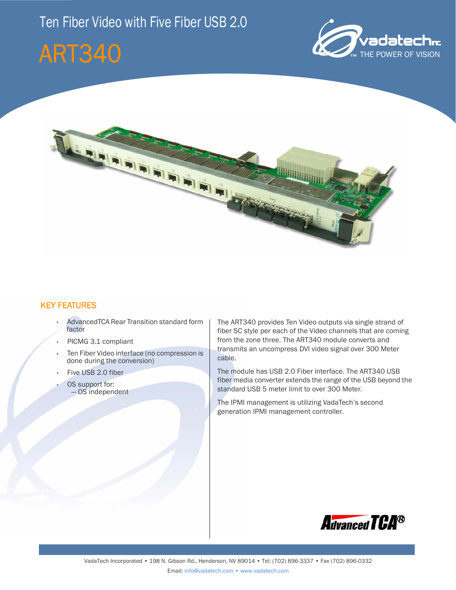





### KEY FEATURES

- AdvancedTCA Rear Transition standard form factor
- PICMG 3.1 compliant
- Ten Fiber Video interface (no compression is done during the conversion)
- Five USB 2.0 fiber
- OS support for: — OS independent

The ART340 provides Ten Video outputs via single strand of fiber SC style per each of the Video channels that are coming from the zone three. The ART340 module converts and transmits an uncompress DVI video signal over 300 Meter cable.

The module has USB 2.0 Fiber interface. The ART340 USB fiber media converter extends the range of the USB beyond the standard USB 5 meter limit to over 300 Meter.

The IPMI management is utilizing VadaTech's second generation IPMI management controller.

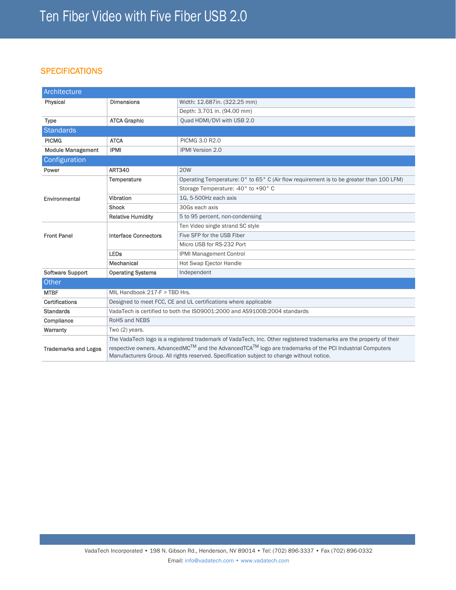## **SPECIFICATIONS**

| Architecture                |                                                                                                                     |                                                                                                                                                                                                                                |
|-----------------------------|---------------------------------------------------------------------------------------------------------------------|--------------------------------------------------------------------------------------------------------------------------------------------------------------------------------------------------------------------------------|
| Physical                    | <b>Dimensions</b>                                                                                                   | Width: 12.687in. (322.25 mm)                                                                                                                                                                                                   |
|                             |                                                                                                                     | Depth: 3.701 in. (94.00 mm)                                                                                                                                                                                                    |
| <b>Type</b>                 | <b>ATCA Graphic</b>                                                                                                 | Quad HDMI/DVI with USB 2.0                                                                                                                                                                                                     |
| <b>Standards</b>            |                                                                                                                     |                                                                                                                                                                                                                                |
| <b>PICMG</b>                | <b>ATCA</b>                                                                                                         | PICMG 3.0 R2.0                                                                                                                                                                                                                 |
| <b>Module Management</b>    | <b>IPMI</b>                                                                                                         | <b>IPMI Version 2.0</b>                                                                                                                                                                                                        |
| Configuration               |                                                                                                                     |                                                                                                                                                                                                                                |
| Power                       | <b>ART340</b>                                                                                                       | <b>20W</b>                                                                                                                                                                                                                     |
|                             | Temperature                                                                                                         | Operating Temperature: 0° to 65° C (Air flow requirement is to be greater than 100 LFM)                                                                                                                                        |
|                             |                                                                                                                     | Storage Temperature: -40° to +90° C                                                                                                                                                                                            |
| Environmental               | Vibration                                                                                                           | 1G. 5-500Hz each axis                                                                                                                                                                                                          |
|                             | <b>Shock</b>                                                                                                        | 30Gs each axis                                                                                                                                                                                                                 |
|                             | <b>Relative Humidity</b>                                                                                            | 5 to 95 percent, non-condensing                                                                                                                                                                                                |
| <b>Front Panel</b>          | <b>Interface Connectors</b>                                                                                         | Ten Video single strand SC style                                                                                                                                                                                               |
|                             |                                                                                                                     | Five SFP for the USB Fiber                                                                                                                                                                                                     |
|                             |                                                                                                                     | Micro USB for RS-232 Port                                                                                                                                                                                                      |
|                             | <b>LEDs</b>                                                                                                         | <b>IPMI Management Control</b>                                                                                                                                                                                                 |
|                             | Mechanical                                                                                                          | Hot Swap Ejector Handle                                                                                                                                                                                                        |
| <b>Software Support</b>     | <b>Operating Systems</b>                                                                                            | Independent                                                                                                                                                                                                                    |
| Other                       |                                                                                                                     |                                                                                                                                                                                                                                |
| <b>MTBF</b>                 | MIL Handbook 217-F > TBD Hrs.                                                                                       |                                                                                                                                                                                                                                |
| <b>Certifications</b>       | Designed to meet FCC, CE and UL certifications where applicable                                                     |                                                                                                                                                                                                                                |
| <b>Standards</b>            | VadaTech is certified to both the ISO9001:2000 and AS9100B:2004 standards                                           |                                                                                                                                                                                                                                |
| Compliance                  | RoHS and NEBS                                                                                                       |                                                                                                                                                                                                                                |
| Warranty                    | Two (2) years.                                                                                                      |                                                                                                                                                                                                                                |
|                             | The VadaTech logo is a registered trademark of VadaTech, Inc. Other registered trademarks are the property of their |                                                                                                                                                                                                                                |
| <b>Trademarks and Logos</b> |                                                                                                                     | respective owners. AdvancedMC <sup>TM</sup> and the AdvancedTCA <sup>TM</sup> logo are trademarks of the PCI Industrial Computers<br>Manufacturers Group. All rights reserved. Specification subject to change without notice. |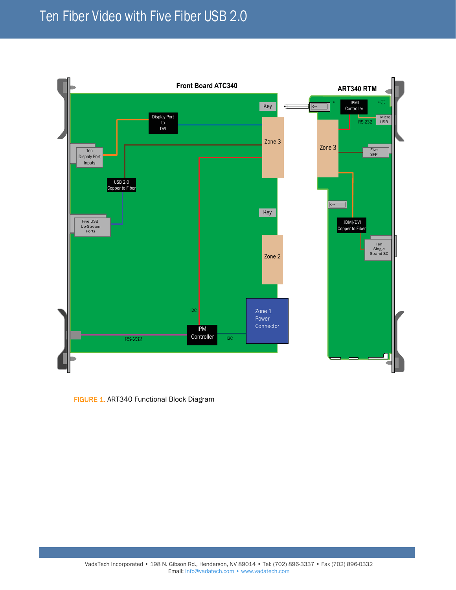# Ten Fiber Video with Five Fiber USB 2.0



FIGURE 1. ART340 Functional Block Diagram